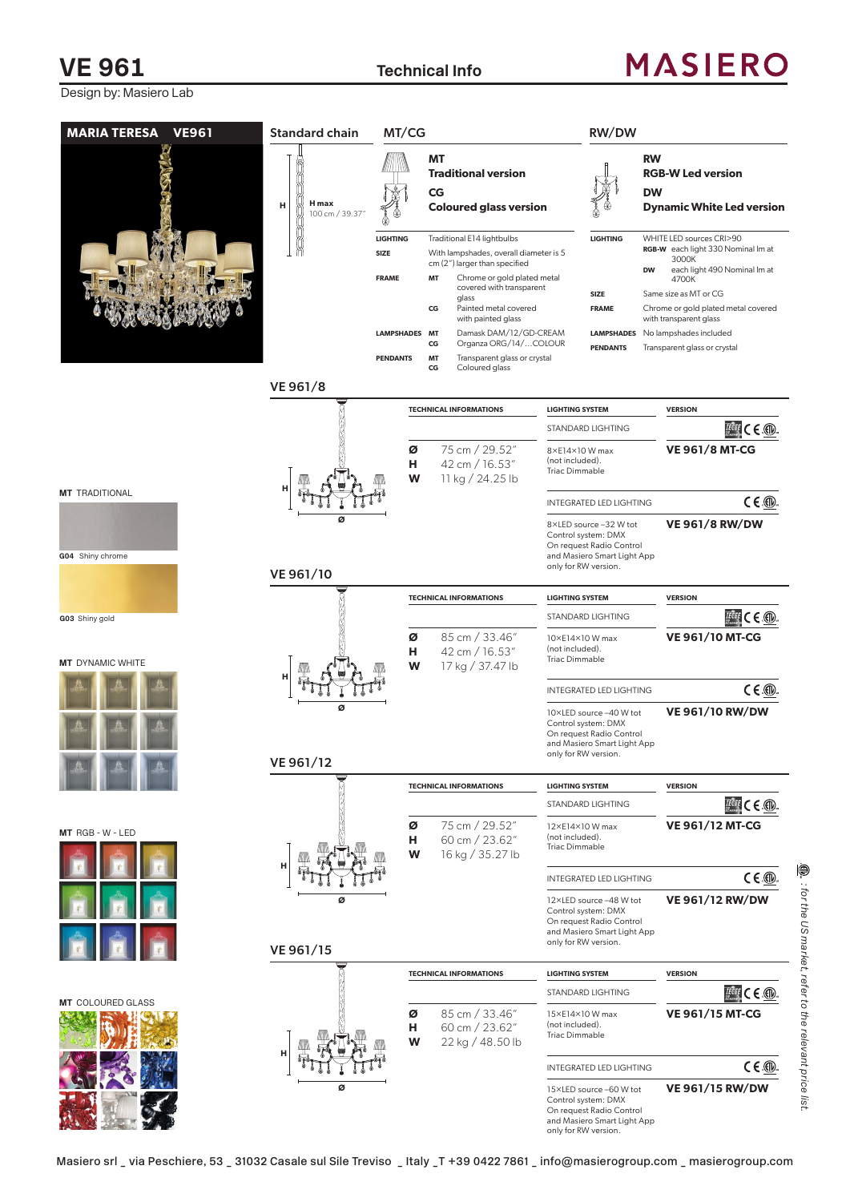## **VE 961** Technical Info

Design by: Masiero Lab

# **MASIERO**

| <b>MARIA TERESA VE961</b> | <b>Standard chain</b>               | MT/CG                                                                              |                                   |                                                                                                                                                                                                                                                                                                                               |                                                             | RW/DW                                                                                                     |                                                                                                                                                                                                                                                                                   |
|---------------------------|-------------------------------------|------------------------------------------------------------------------------------|-----------------------------------|-------------------------------------------------------------------------------------------------------------------------------------------------------------------------------------------------------------------------------------------------------------------------------------------------------------------------------|-------------------------------------------------------------|-----------------------------------------------------------------------------------------------------------|-----------------------------------------------------------------------------------------------------------------------------------------------------------------------------------------------------------------------------------------------------------------------------------|
|                           | <b>H</b> max<br>н<br>100 cm / 39.37 |                                                                                    |                                   | ΜT<br><b>Traditional version</b><br>CG<br><b>Coloured glass version</b>                                                                                                                                                                                                                                                       |                                                             |                                                                                                           | <b>RW</b><br><b>RGB-W Led version</b><br><b>DW</b><br><b>Dynamic White Led version</b>                                                                                                                                                                                            |
|                           |                                     | <b>LIGHTING</b><br>SIZE<br><b>FRAME</b><br><b>LAMPSHADES MT</b><br><b>PENDANTS</b> | <b>MT</b><br>CG<br>CG<br>MT<br>CG | Traditional E14 lightbulbs<br>With lampshades, overall diameter is 5<br>cm (2") larger than specified<br>Chrome or gold plated metal<br>covered with transparent<br>glass<br>Painted metal covered<br>with painted glass<br>Damask DAM/12/GD-CREAM<br>Organza ORG/14/COLOUR<br>Transparent glass or crystal<br>Coloured glass |                                                             | <b>LIGHTING</b><br><b>SIZE</b><br><b>FRAME</b><br><b>LAMPSHADES</b><br><b>PENDANTS</b>                    | WHITE LED sources CRI>90<br>RGB-W each light 330 Nominal Im at<br>3000K<br><b>DW</b><br>each light 490 Nominal Im at<br>4700K<br>Same size as MT or CG<br>Chrome or gold plated metal covered<br>with transparent glass<br>No lampshades included<br>Transparent glass or crystal |
|                           | VE 961/8                            |                                                                                    |                                   |                                                                                                                                                                                                                                                                                                                               |                                                             |                                                                                                           |                                                                                                                                                                                                                                                                                   |
|                           |                                     |                                                                                    |                                   | <b>TECHNICAL INFORMATIONS</b>                                                                                                                                                                                                                                                                                                 | <b>LIGHTING SYSTEM</b>                                      |                                                                                                           | <b>VERSION</b>                                                                                                                                                                                                                                                                    |
|                           |                                     | ø<br>н<br>W                                                                        |                                   | 75 cm / 29.52"<br>42 cm / 16.53"<br>11 kg / 24.25 lb                                                                                                                                                                                                                                                                          | 8×E14×10 W max<br>(not included).<br><b>Triac Dimmable</b>  | STANDARD LIGHTING                                                                                         | $T^{\text{eff}}$ CE<br><b>VE 961/8 MT-CG</b>                                                                                                                                                                                                                                      |
| <b>MT</b> TRADITIONAL     |                                     |                                                                                    |                                   |                                                                                                                                                                                                                                                                                                                               |                                                             | INTEGRATED LED LIGHTING                                                                                   | $C \in \mathbb{Q}$                                                                                                                                                                                                                                                                |
| G04 Shiny chrome          | ø                                   |                                                                                    |                                   |                                                                                                                                                                                                                                                                                                                               | only for RW version.                                        | 8×LED source -32 W tot<br>Control system: DMX<br>On request Radio Control<br>and Masiero Smart Light App  | <b>VE 961/8 RW/DW</b>                                                                                                                                                                                                                                                             |
|                           | VE 961/10                           |                                                                                    |                                   |                                                                                                                                                                                                                                                                                                                               |                                                             |                                                                                                           |                                                                                                                                                                                                                                                                                   |
| G03 Shiny gold            |                                     |                                                                                    |                                   | <b>TECHNICAL INFORMATIONS</b>                                                                                                                                                                                                                                                                                                 | <b>LIGHTING SYSTEM</b>                                      | STANDARD LIGHTING                                                                                         | <b>VERSION</b><br>$H^{\text{eff}}$ C E $\oplus$                                                                                                                                                                                                                                   |
| <b>MT</b> DYNAMIC WHITE   |                                     | ø<br>н<br>W                                                                        |                                   | 85 cm / 33.46"<br>42 cm / 16.53"<br>17 kg / 37.47 lb                                                                                                                                                                                                                                                                          | 10×E14×10 W max<br>(not included).<br><b>Triac Dimmable</b> |                                                                                                           | <b>VE 961/10 MT-CG</b>                                                                                                                                                                                                                                                            |
|                           |                                     |                                                                                    |                                   |                                                                                                                                                                                                                                                                                                                               |                                                             | <b>INTEGRATED LED LIGHTING</b>                                                                            | $C \in \circled{m}$                                                                                                                                                                                                                                                               |
|                           | ø                                   |                                                                                    |                                   |                                                                                                                                                                                                                                                                                                                               | only for RW version.                                        | 10×LED source -40 W tot<br>Control system: DMX<br>On request Radio Control<br>and Masiero Smart Light App | <b>VE 961/10 RW/DW</b>                                                                                                                                                                                                                                                            |
|                           | VE 961/12                           |                                                                                    |                                   |                                                                                                                                                                                                                                                                                                                               |                                                             |                                                                                                           |                                                                                                                                                                                                                                                                                   |
|                           |                                     |                                                                                    |                                   | <b>TECHNICAL INFORMATIONS</b>                                                                                                                                                                                                                                                                                                 | <b>LIGHTING SYSTEM</b>                                      | STANDARD LIGHTING                                                                                         | <b>VERSION</b><br>$T^{\text{CGF}}$ C E $\circledR$ .                                                                                                                                                                                                                              |
| MT RGB - W - LED          |                                     | Ø<br>н<br>W                                                                        |                                   | 75 cm / 29.52"<br>60 cm / 23.62"<br>16 kg / 35.27 lb                                                                                                                                                                                                                                                                          | 12×E14×10W max<br>(not included).<br><b>Triac Dimmable</b>  |                                                                                                           | <b>VE 961/12 MT-CG</b>                                                                                                                                                                                                                                                            |
|                           |                                     |                                                                                    |                                   |                                                                                                                                                                                                                                                                                                                               |                                                             | <b>INTEGRATED LED LIGHTING</b>                                                                            | $C \in \circled{m}$                                                                                                                                                                                                                                                               |
|                           | ø<br>VE 961/15                      |                                                                                    |                                   |                                                                                                                                                                                                                                                                                                                               | only for RW version.                                        | 12×LED source -48 W tot<br>Control system: DMX<br>On request Radio Control<br>and Masiero Smart Light App | <b>VE 961/12 RW/DW</b>                                                                                                                                                                                                                                                            |
|                           |                                     |                                                                                    |                                   | <b>TECHNICAL INFORMATIONS</b>                                                                                                                                                                                                                                                                                                 | <b>LIGHTING SYSTEM</b>                                      |                                                                                                           | <b>VERSION</b>                                                                                                                                                                                                                                                                    |
|                           |                                     |                                                                                    |                                   |                                                                                                                                                                                                                                                                                                                               |                                                             | STANDARD LIGHTING                                                                                         | $T$ $C \in \mathbb{Q}$                                                                                                                                                                                                                                                            |
| <b>MT</b> COLOURED GLASS  |                                     | Ø<br>н<br>W                                                                        |                                   | 85 cm / 33.46"<br>60 cm / 23.62"<br>22 kg / 48.50 lb                                                                                                                                                                                                                                                                          | 15×E14×10 W max<br>(not included).<br><b>Triac Dimmable</b> |                                                                                                           | <b>VE 961/15 MT-CG</b>                                                                                                                                                                                                                                                            |
|                           |                                     |                                                                                    |                                   |                                                                                                                                                                                                                                                                                                                               |                                                             | INTEGRATED LED LIGHTING                                                                                   | $C \in \circled{m}$                                                                                                                                                                                                                                                               |
|                           | ø                                   |                                                                                    |                                   |                                                                                                                                                                                                                                                                                                                               | only for RW version.                                        | 15×LED source -60 W tot<br>Control system: DMX<br>On request Radio Control<br>and Masiero Smart Light App | <b>VE 961/15 RW/DW</b>                                                                                                                                                                                                                                                            |